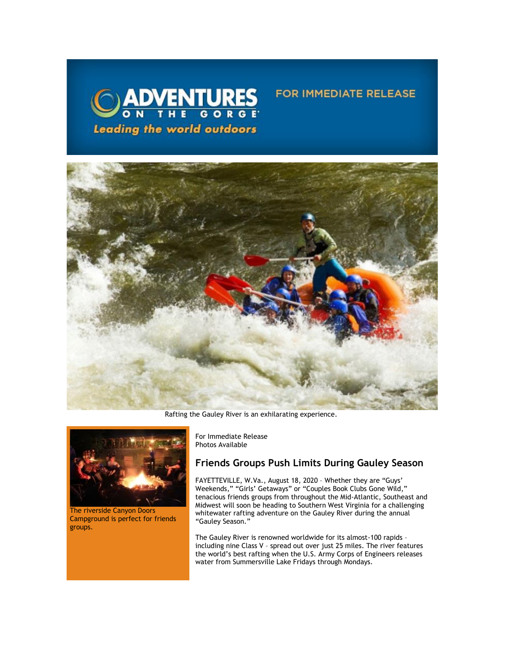

## **FOR IMMEDIATE RELEASE**



Rafting the Gauley River is an exhilarating experience.



The riverside Canyon Doors Campground is perfect for friends groups.

For Immediate Release Photos Available

# **Friends Groups Push Limits During Gauley Season**

FAYETTEVILLE, W.Va., August 18, 2020 – Whether they are "Guys' Weekends," "Girls' Getaways" or "Couples Book Clubs Gone Wild," tenacious friends groups from throughout the Mid-Atlantic, Southeast and Midwest will soon be heading to Southern West Virginia for a challenging whitewater rafting adventure on the Gauley River during the annual "Gauley Season."

The Gauley River is renowned worldwide for its almost-100 rapids – including nine Class V – spread out over just 25 miles. The river features the world's best rafting when the U.S. Army Corps of Engineers releases water from Summersville Lake Fridays through Mondays.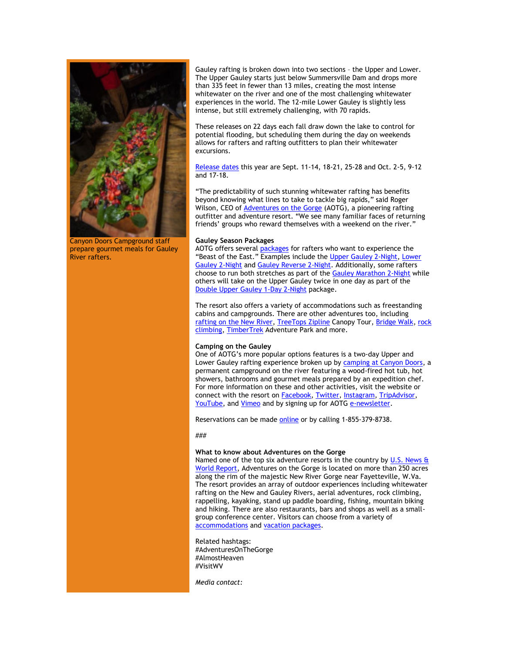

Canyon Doors Campground staff prepare gourmet meals for Gauley River rafters.

Gauley rafting is broken down into two sections – the Upper and Lower. The Upper Gauley starts just below Summersville Dam and drops more than 335 feet in fewer than 13 miles, creating the most intense whitewater on the river and one of the most challenging whitewater experiences in the world. The 12-mile Lower Gauley is slightly less intense, but still extremely challenging, with 70 rapids.

These releases on 22 days each fall draw down the lake to control for potential flooding, but scheduling them during the day on weekends allows for rafters and rafting outfitters to plan their whitewater excursions.

[Release dates](https://click.icptrack.com/icp/relay.php?r=13440961&msgid=459645&act=3SPQ&c=1378153&destination=https%3A%2F%2Fadventuresonthegorge.com%2Funcategorized%2Fgauley-release-dates-calendar%2F&cf=13608&v=ff31ba0554bf660a6e261e1ee472269c2e1012eb54897798e01484b5de8bce5d) this year are Sept. 11-14, 18-21, 25-28 and Oct. 2-5, 9-12 and 17-18.

"The predictability of such stunning whitewater rafting has benefits beyond knowing what lines to take to tackle big rapids," said Roger Wilson, CEO of **Adventures on the Gorge** (AOTG), a pioneering rafting outfitter and adventure resort. "We see many familiar faces of returning friends' groups who reward themselves with a weekend on the river."

### **Gauley Season Packages**

AOTG offers severa[l packages](https://click.icptrack.com/icp/relay.php?r=13440961&msgid=459645&act=3SPQ&c=1378153&destination=https%3A%2F%2Fwww.adventuresonthegorge.com%2Fpackages%2Frafting%3Friver%3Dgauley-river&cf=13608&v=32801b5e4d12523e8b1ff33564ee089bd98145465d638cd2cc8042cce7070248) for rafters who want to experience the "Beast of the East." Examples include the [Upper Gauley 2-Night,](https://click.icptrack.com/icp/relay.php?r=13440961&msgid=459645&act=3SPQ&c=1378153&destination=https%3A%2F%2Fwww.adventuresonthegorge.com%2Fpackages%2Frafting%2Fupper-gauley-2-night-package&cf=13608&v=666570666add0e6b691ebed1d89a27840bb540b4eee4d93004cf066275e00764) [Lower](https://click.icptrack.com/icp/relay.php?r=13440961&msgid=459645&act=3SPQ&c=1378153&destination=https%3A%2F%2Fwww.adventuresonthegorge.com%2Fpackages%2Frafting%2Flower-gauley-2-night-package&cf=13608&v=5b387bb3188fd834e93ac0ef2df339bfa9e722641206e0a4c51fe414c8ed65f8)  [Gauley 2-Night](https://click.icptrack.com/icp/relay.php?r=13440961&msgid=459645&act=3SPQ&c=1378153&destination=https%3A%2F%2Fwww.adventuresonthegorge.com%2Fpackages%2Frafting%2Flower-gauley-2-night-package&cf=13608&v=5b387bb3188fd834e93ac0ef2df339bfa9e722641206e0a4c51fe414c8ed65f8) and [Gauley Reverse 2-Night.](https://click.icptrack.com/icp/relay.php?r=13440961&msgid=459645&act=3SPQ&c=1378153&destination=https%3A%2F%2Fwww.adventuresonthegorge.com%2Fpackages%2Frafting%2Fgauley-reverse-2-night-package&cf=13608&v=fdf4ddf191e581c6f73a65e28a09f8bc2b775178046130fce343df407f22ba7a) Additionally, some rafters choose to run both stretches as part of the [Gauley Marathon 2-Night](https://click.icptrack.com/icp/relay.php?r=13440961&msgid=459645&act=3SPQ&c=1378153&destination=https%3A%2F%2Fwww.adventuresonthegorge.com%2Fpackages%2Frafting%2Fgauley-marathon-2-night-package&cf=13608&v=1c1c4fb784aad2a24d8da3c185d047b298bb856f04517ad31d33d770bd3cbd06) while others will take on the Upper Gauley twice in one day as part of the [Double Upper Gauley 1-Day 2-Night](https://click.icptrack.com/icp/relay.php?r=13440961&msgid=459645&act=3SPQ&c=1378153&destination=https%3A%2F%2Fwww.adventuresonthegorge.com%2Fpackages%2Frafting%2Fdouble-upper-gauley-1-day-2-night-package&cf=13608&v=8a1d1d765dc15b6b618f5467965f83da129114258f7d981c80fb25eb29f7300f) package.

The resort also offers a variety of accommodations such as freestanding cabins and campgrounds. There are other adventures too, including [rafting on the New River,](https://click.icptrack.com/icp/relay.php?r=13440961&msgid=459645&act=3SPQ&c=1378153&destination=https%3A%2F%2Fadventuresonthegorge.com%2Frafting-2%2F&cf=13608&v=805f375ed879bb6278312ad5ed62d754ceba838af7a68c81132990a634bb90d2) [TreeTops Zipline](https://click.icptrack.com/icp/relay.php?r=13440961&msgid=459645&act=3SPQ&c=1378153&destination=https%3A%2F%2Fadventuresonthegorge.com%2Fadventures%2Fzip-line-aerial-adventures%2Ftreetops-zip-line-canopy-tour%2F&cf=13608&v=d91862384dba58aa5469fc610fd0b748936bb315ce270c5a0c87f70bf4ea166c) Canopy Tour, [Bridge Walk,](https://click.icptrack.com/icp/relay.php?r=13440961&msgid=459645&act=3SPQ&c=1378153&destination=https%3A%2F%2Fadventuresonthegorge.com%2Fadventures%2Fzip-line-aerial-adventures%2Fbridge-walk%2F&cf=13608&v=435dd7ef93b7a5ec1673b04382975af02f4cd97e1ef62cab683c9a525c7ed4a2) [rock](https://click.icptrack.com/icp/relay.php?r=13440961&msgid=459645&act=3SPQ&c=1378153&destination=https%3A%2F%2Fadventuresonthegorge.com%2Fadventures%2F%3Ftx_category%3Dclimbing-rappelling&cf=13608&v=9140be8380db3adc386b8aeaed544dde08dc74bd06eb6f44ecadd32fba3b081d)  [climbing,](https://click.icptrack.com/icp/relay.php?r=13440961&msgid=459645&act=3SPQ&c=1378153&destination=https%3A%2F%2Fadventuresonthegorge.com%2Fadventures%2F%3Ftx_category%3Dclimbing-rappelling&cf=13608&v=9140be8380db3adc386b8aeaed544dde08dc74bd06eb6f44ecadd32fba3b081d) [TimberTrek](https://click.icptrack.com/icp/relay.php?r=13440961&msgid=459645&act=3SPQ&c=1378153&destination=https%3A%2F%2Fadventuresonthegorge.com%2Fadventures%2Fzip-line-aerial-adventures%2Ftimbertrek-adventure-park%2F&cf=13608&v=18ccc891771829c3d4c9e36973df56a6d0d839c635d665a6a43350403fdbaa88) Adventure Park and more.

### **Camping on the Gauley**

One of AOTG's more popular options features is a two-day Upper and Lower Gauley rafting experience broken up by [camping at Canyon Doors,](https://click.icptrack.com/icp/relay.php?r=13440961&msgid=459645&act=3SPQ&c=1378153&destination=https%3A%2F%2Fwww.adventuresonthegorge.com%2Fadventures%2Fwhitewater-rafting%2Fgauley-river-overnight&cf=13608&v=9936c38854687d95862c46f3d58ed50eaa4b64b65dfefa3fdbd634b34504292d) a permanent campground on the river featuring a wood-fired hot tub, hot showers, bathrooms and gourmet meals prepared by an expedition chef. For more information on these and other activities, visit the website or connect with the resort on **Facebook**, **Twitter**, **Instagram**, **TripAdvisor**, [YouTube,](https://click.icptrack.com/icp/relay.php?r=13440961&msgid=459645&act=3SPQ&c=1378153&destination=https%3A%2F%2Fwww.youtube.com%2Fuser%2FAdventuresOnTheGorge&cf=13608&v=7b71b3e994e129bfdca87c6523149b64faacb62e001d98eb26897d7c7236e8cc) and [Vimeo](https://click.icptrack.com/icp/relay.php?r=13440961&msgid=459645&act=3SPQ&c=1378153&destination=https%3A%2F%2Fvimeo.com%2Fuser4260102&cf=13608&v=4ff82f41c6c552c9da3c61684889fad58e153a690bdb0b74761adab86ca752a0) and by signing up for AOTG [e-newsletter.](https://click.icptrack.com/icp/relay.php?r=13440961&msgid=459645&act=3SPQ&c=1378153&destination=https%3A%2F%2Fadventuresonthegorge.com%2F&cf=13608&v=a83cd0882452dd5ad1794082623f8c176d7586c5f6015a054a1c7b875f219550)

Reservations can be made [online o](https://click.icptrack.com/icp/relay.php?r=13440961&msgid=459645&act=3SPQ&c=1378153&destination=https%3A%2F%2Fadventuresonthegorge.com%2Fadventures%2Fwhitewater-rafting%2Fsummer-gauley-loop-overnight%2F&cf=13608&v=4850d45587df31612fc20496dd2cce90cea3787d6dbc23d49d242d845627523b)r by calling 1-855-379-8738.

###

### **What to know about Adventures on the Gorge**

Named one of the top six adventure resorts in the country by U.S. News  $\frac{a}{b}$ [World Report,](https://click.icptrack.com/icp/relay.php?r=13440961&msgid=459645&act=3SPQ&c=1378153&destination=http%3A%2F%2Ftravel.usnews.com%2Fgallery%2Famericas-6-top-adventure-resorts&cf=13608&v=764bfdbe430f777c5bcc69b025c1a8805ca5cbb157f8c18454c411b272e07901) Adventures on the Gorge is located on more than 250 acres along the rim of the majestic New River Gorge near Fayetteville, W.Va. The resort provides an array of outdoor experiences including whitewater rafting on the New and Gauley Rivers, aerial adventures, rock climbing, rappelling, kayaking, stand up paddle boarding, fishing, mountain biking and hiking. There are also restaurants, bars and shops as well as a smallgroup conference center. Visitors can choose from a variety of [accommodations](https://click.icptrack.com/icp/relay.php?r=13440961&msgid=459645&act=3SPQ&c=1378153&destination=https%3A%2F%2Fadventuresonthegorge.com%2Flodging%2F&cf=13608&v=a0a1ec07ee637c78242d3333295573a8e337130c936224b8e1d32f73fd9e88eb) an[d vacation packages.](https://click.icptrack.com/icp/relay.php?r=13440961&msgid=459645&act=3SPQ&c=1378153&destination=https%3A%2F%2Fadventuresonthegorge.com%2Fpackages%2F&cf=13608&v=8751df1b896b42a43c8f638cff3537e1a0bec91ccd87a43021a073a818c593de)

Related hashtags: #AdventuresOnTheGorge #AlmostHeaven #VisitWV

*Media contact:*